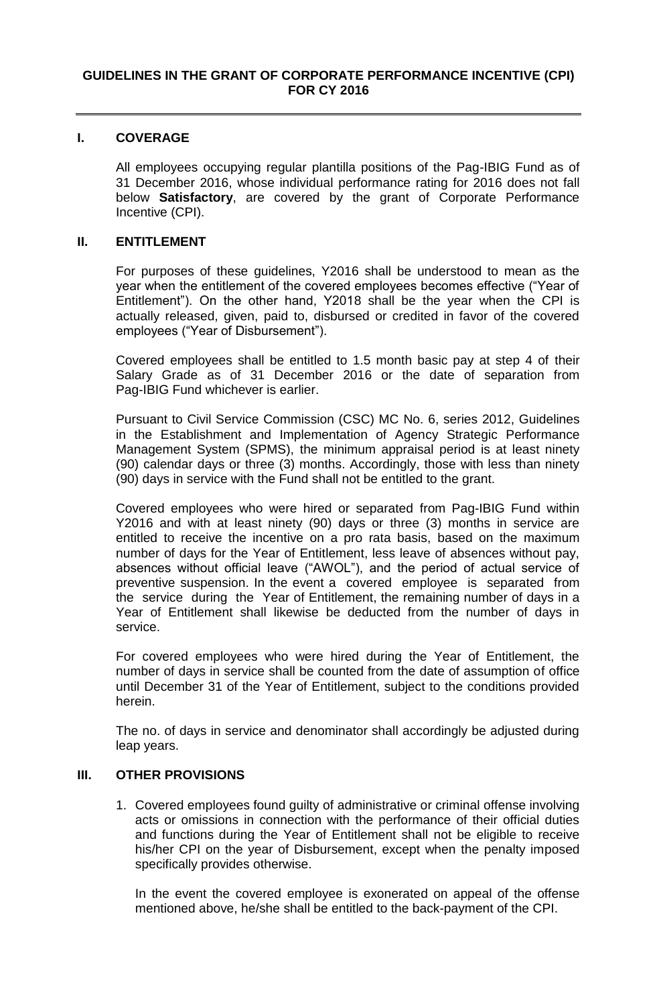## **I. COVERAGE**

All employees occupying regular plantilla positions of the Pag-IBIG Fund as of 31 December 2016, whose individual performance rating for 2016 does not fall below **Satisfactory**, are covered by the grant of Corporate Performance Incentive (CPI).

## **II. ENTITLEMENT**

For purposes of these guidelines, Y2016 shall be understood to mean as the year when the entitlement of the covered employees becomes effective ("Year of Entitlement"). On the other hand, Y2018 shall be the year when the CPI is actually released, given, paid to, disbursed or credited in favor of the covered employees ("Year of Disbursement").

Covered employees shall be entitled to 1.5 month basic pay at step 4 of their Salary Grade as of 31 December 2016 or the date of separation from Pag-IBIG Fund whichever is earlier.

Pursuant to Civil Service Commission (CSC) MC No. 6, series 2012, Guidelines in the Establishment and Implementation of Agency Strategic Performance Management System (SPMS), the minimum appraisal period is at least ninety (90) calendar days or three (3) months. Accordingly, those with less than ninety (90) days in service with the Fund shall not be entitled to the grant.

Covered employees who were hired or separated from Pag-IBIG Fund within Y2016 and with at least ninety (90) days or three (3) months in service are entitled to receive the incentive on a pro rata basis, based on the maximum number of days for the Year of Entitlement, less leave of absences without pay, absences without official leave ("AWOL"), and the period of actual service of preventive suspension. In the event a covered employee is separated from the service during the Year of Entitlement, the remaining number of days in a Year of Entitlement shall likewise be deducted from the number of days in service.

For covered employees who were hired during the Year of Entitlement, the number of days in service shall be counted from the date of assumption of office until December 31 of the Year of Entitlement, subject to the conditions provided herein.

The no. of days in service and denominator shall accordingly be adjusted during leap years.

## **III. OTHER PROVISIONS**

1. Covered employees found guilty of administrative or criminal offense involving acts or omissions in connection with the performance of their official duties and functions during the Year of Entitlement shall not be eligible to receive his/her CPI on the year of Disbursement, except when the penalty imposed specifically provides otherwise.

In the event the covered employee is exonerated on appeal of the offense mentioned above, he/she shall be entitled to the back-payment of the CPI.